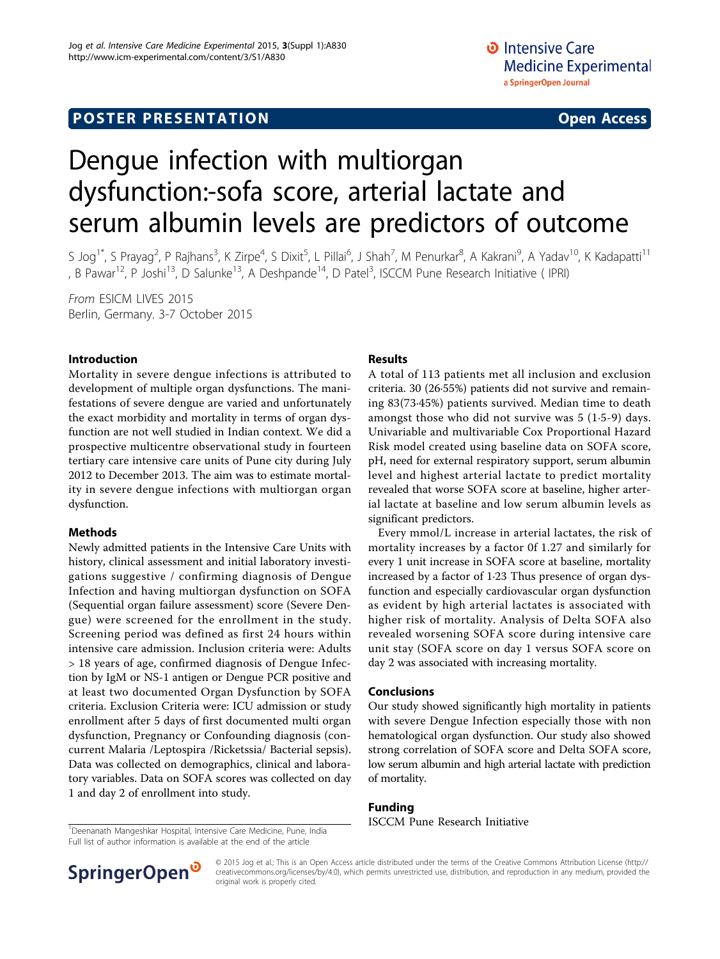# **POSTER PRESENTATION CONSUMING THE SERVICE SERVICE SERVICES**

# Dengue infection with multiorgan dysfunction:-sofa score, arterial lactate and serum albumin levels are predictors of outcome

S Jog<sup>1\*</sup>, S Prayag<sup>2</sup>, P Rajhans<sup>3</sup>, K Zirpe<sup>4</sup>, S Dixit<sup>5</sup>, L Pillai<sup>6</sup>, J Shah<sup>7</sup>, M Penurkar<sup>8</sup>, A Kakrani<sup>9</sup>, A Yadav<sup>10</sup>, K Kadapatti<sup>11</sup> , B Pawar<sup>12</sup>, P Joshi<sup>13</sup>, D Salunke<sup>13</sup>, A Deshpande<sup>14</sup>, D Patel<sup>3</sup>, ISCCM Pune Research Initiative (IPRI)

From ESICM LIVES 2015 Berlin, Germany. 3-7 October 2015

### Introduction

Mortality in severe dengue infections is attributed to development of multiple organ dysfunctions. The manifestations of severe dengue are varied and unfortunately the exact morbidity and mortality in terms of organ dysfunction are not well studied in Indian context. We did a prospective multicentre observational study in fourteen tertiary care intensive care units of Pune city during July 2012 to December 2013. The aim was to estimate mortality in severe dengue infections with multiorgan organ dysfunction.

#### Methods

Newly admitted patients in the Intensive Care Units with history, clinical assessment and initial laboratory investigations suggestive / confirming diagnosis of Dengue Infection and having multiorgan dysfunction on SOFA (Sequential organ failure assessment) score (Severe Dengue) were screened for the enrollment in the study. Screening period was defined as first 24 hours within intensive care admission. Inclusion criteria were: Adults > 18 years of age, confirmed diagnosis of Dengue Infection by IgM or NS-1 antigen or Dengue PCR positive and at least two documented Organ Dysfunction by SOFA criteria. Exclusion Criteria were: ICU admission or study enrollment after 5 days of first documented multi organ dysfunction, Pregnancy or Confounding diagnosis (concurrent Malaria /Leptospira /Ricketssia/ Bacterial sepsis). Data was collected on demographics, clinical and laboratory variables. Data on SOFA scores was collected on day 1 and day 2 of enrollment into study.

### Results

A total of 113 patients met all inclusion and exclusion criteria. 30 (26·55%) patients did not survive and remaining 83(73·45%) patients survived. Median time to death amongst those who did not survive was 5 (1·5-9) days. Univariable and multivariable Cox Proportional Hazard Risk model created using baseline data on SOFA score, pH, need for external respiratory support, serum albumin level and highest arterial lactate to predict mortality revealed that worse SOFA score at baseline, higher arterial lactate at baseline and low serum albumin levels as significant predictors.

Every mmol/L increase in arterial lactates, the risk of mortality increases by a factor 0f 1.27 and similarly for every 1 unit increase in SOFA score at baseline, mortality increased by a factor of 1·23 Thus presence of organ dysfunction and especially cardiovascular organ dysfunction as evident by high arterial lactates is associated with higher risk of mortality. Analysis of Delta SOFA also revealed worsening SOFA score during intensive care unit stay (SOFA score on day 1 versus SOFA score on day 2 was associated with increasing mortality.

#### Conclusions

Our study showed significantly high mortality in patients with severe Dengue Infection especially those with non hematological organ dysfunction. Our study also showed strong correlation of SOFA score and Delta SOFA score, low serum albumin and high arterial lactate with prediction of mortality.

#### Funding

<sup>1</sup> Deenanath Mangeshkar Hospital, Intensive Care Medicine, Pune, India **ISCCM Pune Research Initiative** Full list of author information is available at the end of the article



© 2015 Jog et al.; This is an Open Access article distributed under the terms of the Creative Commons Attribution License [\(http://](http://creativecommons.org/licenses/by/4.0) [creativecommons.org/licenses/by/4.0](http://creativecommons.org/licenses/by/4.0)), which permits unrestricted use, distribution, and reproduction in any medium, provided the original work is properly cited.